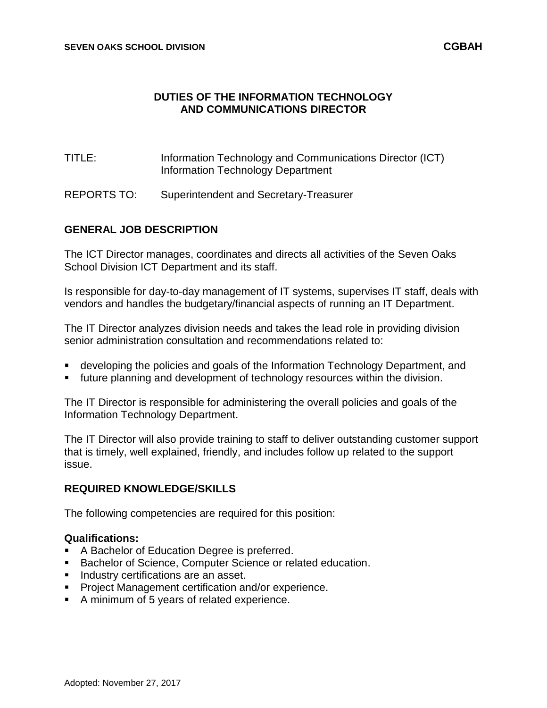### **DUTIES OF THE INFORMATION TECHNOLOGY AND COMMUNICATIONS DIRECTOR**

- TITLE: Information Technology and Communications Director (ICT) Information Technology Department
- REPORTS TO: Superintendent and Secretary-Treasurer

### **GENERAL JOB DESCRIPTION**

The ICT Director manages, coordinates and directs all activities of the Seven Oaks School Division ICT Department and its staff.

Is responsible for day-to-day management of IT systems, supervises IT staff, deals with vendors and handles the budgetary/financial aspects of running an IT Department.

The IT Director analyzes division needs and takes the lead role in providing division senior administration consultation and recommendations related to:

- developing the policies and goals of the Information Technology Department, and
- future planning and development of technology resources within the division.

The IT Director is responsible for administering the overall policies and goals of the Information Technology Department.

The IT Director will also provide training to staff to deliver outstanding customer support that is timely, well explained, friendly, and includes follow up related to the support issue.

### **REQUIRED KNOWLEDGE/SKILLS**

The following competencies are required for this position:

#### **Qualifications:**

- A Bachelor of Education Degree is preferred.
- **Bachelor of Science, Computer Science or related education.**
- **Industry certifications are an asset.**
- **Project Management certification and/or experience.**
- A minimum of 5 years of related experience.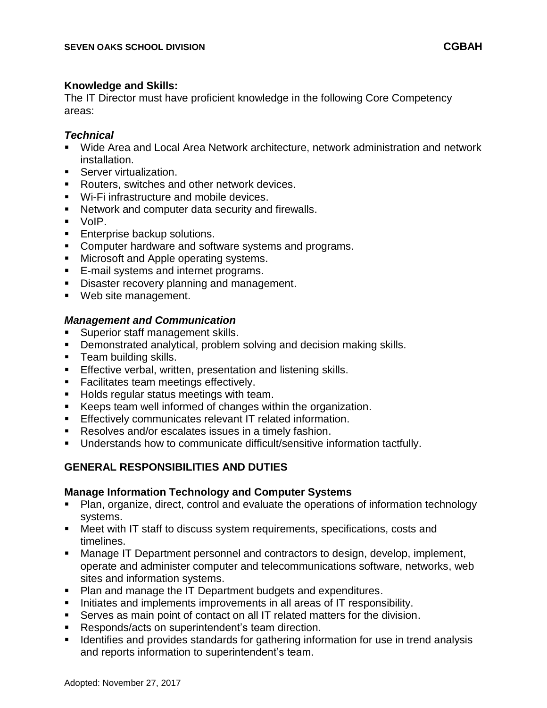#### **Knowledge and Skills:**

The IT Director must have proficient knowledge in the following Core Competency areas:

### *Technical*

- Wide Area and Local Area Network architecture, network administration and network installation.
- **Server virtualization.**
- Routers, switches and other network devices.
- Wi-Fi infrastructure and mobile devices.
- Network and computer data security and firewalls.
- VoIP.
- **Enterprise backup solutions.**
- **Computer hardware and software systems and programs.**
- **Microsoft and Apple operating systems.**
- **E-mail systems and internet programs.**
- Disaster recovery planning and management.
- **Web site management.**

# *Management and Communication*

- Superior staff management skills.
- **Demonstrated analytical, problem solving and decision making skills.**
- **Team building skills.**
- **Effective verbal, written, presentation and listening skills.**
- **Facilitates team meetings effectively.**
- Holds regular status meetings with team.
- Keeps team well informed of changes within the organization.
- **Effectively communicates relevant IT related information.**
- Resolves and/or escalates issues in a timely fashion.
- **Understands how to communicate difficult/sensitive information tactfully.**

# **GENERAL RESPONSIBILITIES AND DUTIES**

### **Manage Information Technology and Computer Systems**

- Plan, organize, direct, control and evaluate the operations of information technology systems.
- Meet with IT staff to discuss system requirements, specifications, costs and timelines.
- **Manage IT Department personnel and contractors to design, develop, implement,** operate and administer computer and telecommunications software, networks, web sites and information systems.
- Plan and manage the IT Department budgets and expenditures.
- Initiates and implements improvements in all areas of IT responsibility.
- Serves as main point of contact on all IT related matters for the division.
- Responds/acts on superintendent's team direction.
- Identifies and provides standards for gathering information for use in trend analysis and reports information to superintendent's team.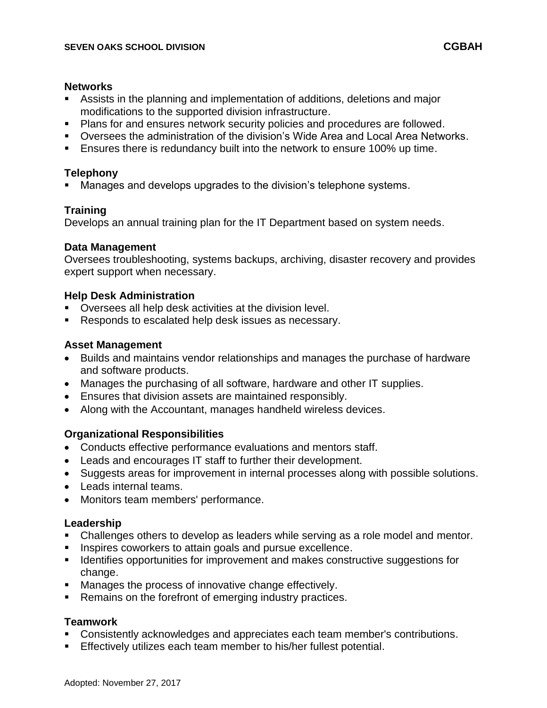#### **Networks**

- Assists in the planning and implementation of additions, deletions and major modifications to the supported division infrastructure.
- **Plans for and ensures network security policies and procedures are followed.**
- Oversees the administration of the division's Wide Area and Local Area Networks.
- **Ensures there is redundancy built into the network to ensure 100% up time.**

# **Telephony**

Manages and develops upgrades to the division's telephone systems.

# **Training**

Develops an annual training plan for the IT Department based on system needs.

### **Data Management**

Oversees troubleshooting, systems backups, archiving, disaster recovery and provides expert support when necessary.

### **Help Desk Administration**

- **Diversees all help desk activities at the division level.**
- Responds to escalated help desk issues as necessary.

# **Asset Management**

- Builds and maintains vendor relationships and manages the purchase of hardware and software products.
- Manages the purchasing of all software, hardware and other IT supplies.
- Ensures that division assets are maintained responsibly.
- Along with the Accountant, manages handheld wireless devices.

# **Organizational Responsibilities**

- Conducts effective performance evaluations and mentors staff.
- Leads and encourages IT staff to further their development.
- Suggests areas for improvement in internal processes along with possible solutions.
- Leads internal teams.
- Monitors team members' performance.

# **Leadership**

- Challenges others to develop as leaders while serving as a role model and mentor.
- **Inspires coworkers to attain goals and pursue excellence.**
- **IDENTIFY IDENTIFY IS SUMSE 10 IN THE INCORDER** IDENTIFY IDENTIFY IDENTIFY IDENTIFY IDENTIFY IDENTIFY IDENTIFY IN change.
- **Manages the process of innovative change effectively.**
- Remains on the forefront of emerging industry practices.

# **Teamwork**

- **Consistently acknowledges and appreciates each team member's contributions.**
- Effectively utilizes each team member to his/her fullest potential.